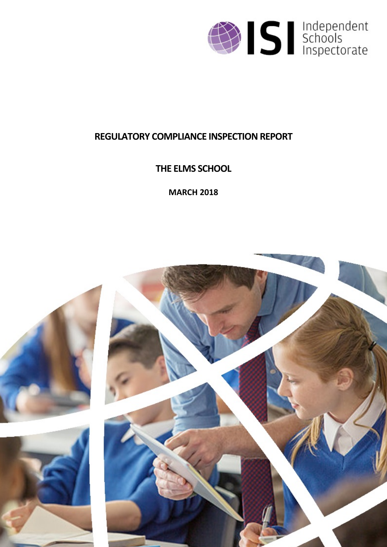

# **REGULATORY COMPLIANCE INSPECTION REPORT**

**THE ELMS SCHOOL**

**MARCH 2018**

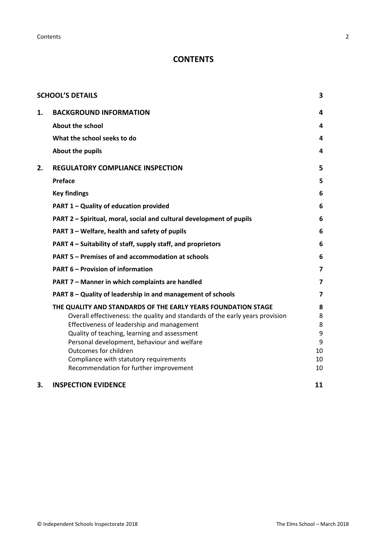**Contents** 2

# **CONTENTS**

|    | <b>SCHOOL'S DETAILS</b>                                                       | 3                       |
|----|-------------------------------------------------------------------------------|-------------------------|
| 1. | <b>BACKGROUND INFORMATION</b>                                                 | 4                       |
|    | <b>About the school</b>                                                       | 4                       |
|    | What the school seeks to do                                                   | 4                       |
|    | About the pupils                                                              | 4                       |
| 2. | <b>REGULATORY COMPLIANCE INSPECTION</b>                                       | 5                       |
|    | <b>Preface</b>                                                                | 5                       |
|    | <b>Key findings</b>                                                           | 6                       |
|    | PART 1 - Quality of education provided                                        | 6                       |
|    | PART 2 – Spiritual, moral, social and cultural development of pupils          | 6                       |
|    | PART 3 - Welfare, health and safety of pupils                                 | 6                       |
|    | PART 4 - Suitability of staff, supply staff, and proprietors                  | 6                       |
|    | <b>PART 5 - Premises of and accommodation at schools</b>                      | 6                       |
|    | <b>PART 6 - Provision of information</b>                                      | $\overline{\mathbf{z}}$ |
|    | PART 7 - Manner in which complaints are handled                               | $\overline{\mathbf{z}}$ |
|    | PART 8 - Quality of leadership in and management of schools                   | 7                       |
|    | THE QUALITY AND STANDARDS OF THE EARLY YEARS FOUNDATION STAGE                 | 8                       |
|    | Overall effectiveness: the quality and standards of the early years provision | 8                       |
|    | Effectiveness of leadership and management                                    | 8                       |
|    | Quality of teaching, learning and assessment                                  | 9                       |
|    | Personal development, behaviour and welfare<br>Outcomes for children          | 9<br>10                 |
|    | Compliance with statutory requirements                                        | 10                      |
|    | Recommendation for further improvement                                        | 10                      |
| 3. | <b>INSPECTION EVIDENCE</b>                                                    | 11                      |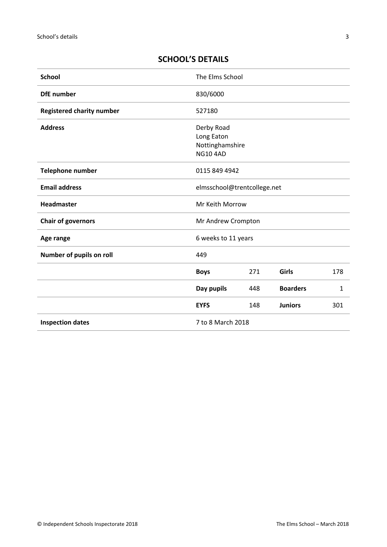# <span id="page-2-0"></span>**SCHOOL'S DETAILS**

| <b>School</b>                    | The Elms School                                                |     |                 |              |
|----------------------------------|----------------------------------------------------------------|-----|-----------------|--------------|
| <b>DfE</b> number                | 830/6000                                                       |     |                 |              |
| <b>Registered charity number</b> | 527180                                                         |     |                 |              |
| <b>Address</b>                   | Derby Road<br>Long Eaton<br>Nottinghamshire<br><b>NG10 4AD</b> |     |                 |              |
| Telephone number                 | 0115 849 4942                                                  |     |                 |              |
| <b>Email address</b>             | elmsschool@trentcollege.net                                    |     |                 |              |
| Headmaster                       | Mr Keith Morrow                                                |     |                 |              |
| <b>Chair of governors</b>        | Mr Andrew Crompton                                             |     |                 |              |
| Age range                        | 6 weeks to 11 years                                            |     |                 |              |
| Number of pupils on roll         | 449                                                            |     |                 |              |
|                                  | <b>Boys</b>                                                    | 271 | Girls           | 178          |
|                                  | Day pupils                                                     | 448 | <b>Boarders</b> | $\mathbf{1}$ |
|                                  | <b>EYFS</b>                                                    | 148 | <b>Juniors</b>  | 301          |
| <b>Inspection dates</b>          | 7 to 8 March 2018                                              |     |                 |              |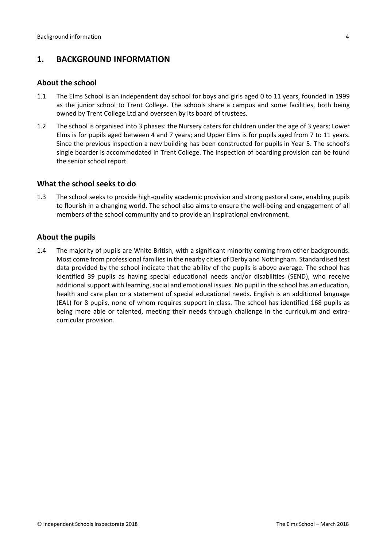## <span id="page-3-0"></span>**1. BACKGROUND INFORMATION**

#### <span id="page-3-1"></span>**About the school**

- 1.1 The Elms School is an independent day school for boys and girls aged 0 to 11 years, founded in 1999 as the junior school to Trent College. The schools share a campus and some facilities, both being owned by Trent College Ltd and overseen by its board of trustees.
- 1.2 The school is organised into 3 phases: the Nursery caters for children under the age of 3 years; Lower Elms is for pupils aged between 4 and 7 years; and Upper Elms is for pupils aged from 7 to 11 years. Since the previous inspection a new building has been constructed for pupils in Year 5. The school's single boarder is accommodated in Trent College. The inspection of boarding provision can be found the senior school report.

#### <span id="page-3-2"></span>**What the school seeks to do**

1.3 The school seeks to provide high-quality academic provision and strong pastoral care, enabling pupils to flourish in a changing world. The school also aims to ensure the well-being and engagement of all members of the school community and to provide an inspirational environment.

#### <span id="page-3-3"></span>**About the pupils**

1.4 The majority of pupils are White British, with a significant minority coming from other backgrounds. Most come from professional families in the nearby cities of Derby and Nottingham. Standardised test data provided by the school indicate that the ability of the pupils is above average. The school has identified 39 pupils as having special educational needs and/or disabilities (SEND), who receive additional support with learning, social and emotional issues. No pupil in the school has an education, health and care plan or a statement of special educational needs. English is an additional language (EAL) for 8 pupils, none of whom requires support in class. The school has identified 168 pupils as being more able or talented, meeting their needs through challenge in the curriculum and extracurricular provision.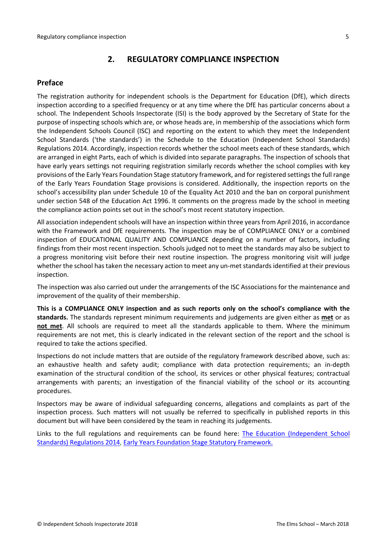## <span id="page-4-0"></span>**2. REGULATORY COMPLIANCE INSPECTION**

### <span id="page-4-1"></span>**Preface**

The registration authority for independent schools is the Department for Education (DfE), which directs inspection according to a specified frequency or at any time where the DfE has particular concerns about a school. The Independent Schools Inspectorate (ISI) is the body approved by the Secretary of State for the purpose of inspecting schools which are, or whose heads are, in membership of the associations which form the Independent Schools Council (ISC) and reporting on the extent to which they meet the Independent School Standards ('the standards') in the Schedule to the Education (Independent School Standards) Regulations 2014. Accordingly, inspection records whether the school meets each of these standards, which are arranged in eight Parts, each of which is divided into separate paragraphs. The inspection of schools that have early years settings not requiring registration similarly records whether the school complies with key provisions of the Early Years Foundation Stage statutory framework, and for registered settings the full range of the Early Years Foundation Stage provisions is considered. Additionally, the inspection reports on the school's accessibility plan under Schedule 10 of the Equality Act 2010 and the ban on corporal punishment under section 548 of the Education Act 1996. It comments on the progress made by the school in meeting the compliance action points set out in the school's most recent statutory inspection.

All association independent schools will have an inspection within three yearsfrom April 2016, in accordance with the Framework and DfE requirements. The inspection may be of COMPLIANCE ONLY or a combined inspection of EDUCATIONAL QUALITY AND COMPLIANCE depending on a number of factors, including findings from their most recent inspection. Schools judged not to meet the standards may also be subject to a progress monitoring visit before their next routine inspection. The progress monitoring visit will judge whether the school has taken the necessary action to meet any un-met standards identified at their previous inspection.

The inspection was also carried out under the arrangements of the ISC Associations for the maintenance and improvement of the quality of their membership.

**This is a COMPLIANCE ONLY inspection and as such reports only on the school's compliance with the standards.** The standards represent minimum requirements and judgements are given either as **met** or as **not met**. All schools are required to meet all the standards applicable to them. Where the minimum requirements are not met, this is clearly indicated in the relevant section of the report and the school is required to take the actions specified.

Inspections do not include matters that are outside of the regulatory framework described above, such as: an exhaustive health and safety audit; compliance with data protection requirements; an in-depth examination of the structural condition of the school, its services or other physical features; contractual arrangements with parents; an investigation of the financial viability of the school or its accounting procedures.

Inspectors may be aware of individual safeguarding concerns, allegations and complaints as part of the inspection process. Such matters will not usually be referred to specifically in published reports in this document but will have been considered by the team in reaching its judgements.

Links to the full regulations and requirements can be found here: The Education [\(Independent](http://www.legislation.gov.uk/uksi/2014/3283/contents/made) School Standards) [Regulations](http://www.legislation.gov.uk/uksi/2014/3283/contents/made) 2014, Early Years Foundation Stage Statutory [Framework.](https://www.gov.uk/government/publications/early-years-foundation-stage-framework--2)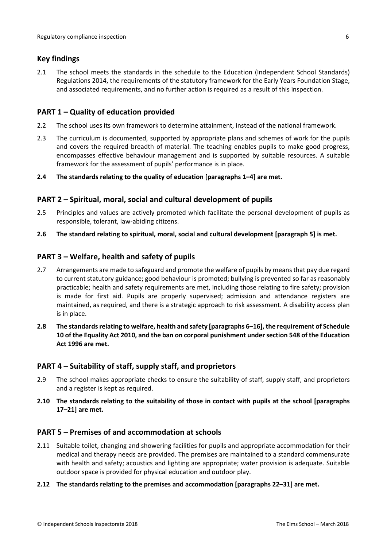### <span id="page-5-0"></span>**Key findings**

2.1 The school meets the standards in the schedule to the Education (Independent School Standards) Regulations 2014, the requirements of the statutory framework for the Early Years Foundation Stage, and associated requirements, and no further action is required as a result of this inspection.

### <span id="page-5-1"></span>**PART 1 – Quality of education provided**

- 2.2 The school uses its own framework to determine attainment, instead of the national framework.
- 2.3 The curriculum is documented, supported by appropriate plans and schemes of work for the pupils and covers the required breadth of material. The teaching enables pupils to make good progress, encompasses effective behaviour management and is supported by suitable resources. A suitable framework for the assessment of pupils' performance is in place.

### **2.4 The standards relating to the quality of education [paragraphs 1–4] are met.**

### <span id="page-5-2"></span>**PART 2 – Spiritual, moral, social and cultural development of pupils**

- 2.5 Principles and values are actively promoted which facilitate the personal development of pupils as responsible, tolerant, law-abiding citizens.
- **2.6 The standard relating to spiritual, moral, social and cultural development [paragraph 5] is met.**

### <span id="page-5-3"></span>**PART 3 – Welfare, health and safety of pupils**

- 2.7 Arrangements are made to safeguard and promote the welfare of pupils by means that pay due regard to current statutory guidance; good behaviour is promoted; bullying is prevented so far as reasonably practicable; health and safety requirements are met, including those relating to fire safety; provision is made for first aid. Pupils are properly supervised; admission and attendance registers are maintained, as required, and there is a strategic approach to risk assessment. A disability access plan is in place.
- **2.8 The standardsrelating to welfare, health and safety [paragraphs 6–16], the requirement of Schedule 10 of the Equality Act 2010, and the ban on corporal punishment undersection 548 of the Education Act 1996 are met.**

### <span id="page-5-4"></span>**PART 4 – Suitability of staff, supply staff, and proprietors**

- 2.9 The school makes appropriate checks to ensure the suitability of staff, supply staff, and proprietors and a register is kept as required.
- **2.10 The standards relating to the suitability of those in contact with pupils at the school [paragraphs 17–21] are met.**

### <span id="page-5-5"></span>**PART 5 – Premises of and accommodation at schools**

- 2.11 Suitable toilet, changing and showering facilities for pupils and appropriate accommodation for their medical and therapy needs are provided. The premises are maintained to a standard commensurate with health and safety; acoustics and lighting are appropriate; water provision is adequate. Suitable outdoor space is provided for physical education and outdoor play.
- **2.12 The standards relating to the premises and accommodation [paragraphs 22–31] are met.**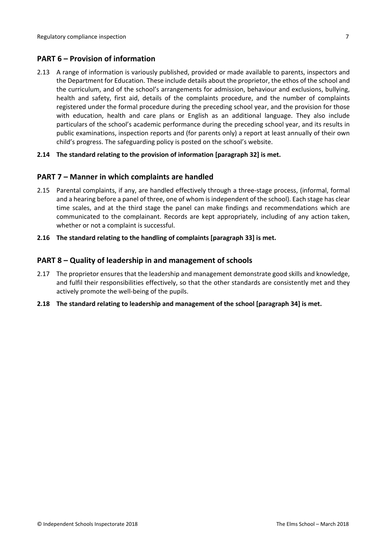### <span id="page-6-0"></span>**PART 6 – Provision of information**

2.13 A range of information is variously published, provided or made available to parents, inspectors and the Department for Education. These include details about the proprietor, the ethos of the school and the curriculum, and of the school's arrangements for admission, behaviour and exclusions, bullying, health and safety, first aid, details of the complaints procedure, and the number of complaints registered under the formal procedure during the preceding school year, and the provision for those with education, health and care plans or English as an additional language. They also include particulars of the school's academic performance during the preceding school year, and its results in public examinations, inspection reports and (for parents only) a report at least annually of their own child's progress. The safeguarding policy is posted on the school's website.

### **2.14 The standard relating to the provision of information [paragraph 32] is met.**

### <span id="page-6-1"></span>**PART 7 – Manner in which complaints are handled**

- 2.15 Parental complaints, if any, are handled effectively through a three-stage process, (informal, formal and a hearing before a panel of three, one of whom is independent of the school). Each stage has clear time scales, and at the third stage the panel can make findings and recommendations which are communicated to the complainant. Records are kept appropriately, including of any action taken, whether or not a complaint is successful.
- **2.16 The standard relating to the handling of complaints [paragraph 33] is met.**

### <span id="page-6-2"></span>**PART 8 – Quality of leadership in and management of schools**

- 2.17 The proprietor ensures that the leadership and management demonstrate good skills and knowledge, and fulfil their responsibilities effectively, so that the other standards are consistently met and they actively promote the well-being of the pupils.
- **2.18 The standard relating to leadership and management of the school [paragraph 34] is met.**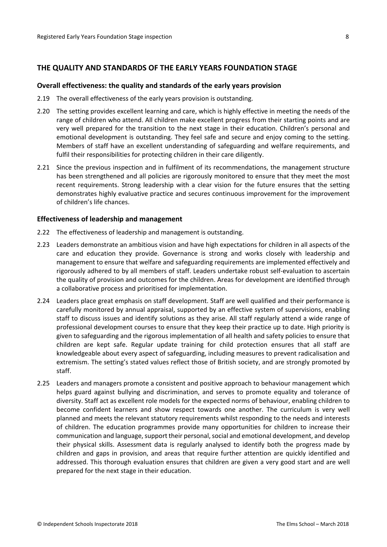### <span id="page-7-0"></span>**THE QUALITY AND STANDARDS OF THE EARLY YEARS FOUNDATION STAGE**

#### <span id="page-7-1"></span>**Overall effectiveness: the quality and standards of the early years provision**

- 2.19 The overall effectiveness of the early years provision is outstanding.
- 2.20 The setting provides excellent learning and care, which is highly effective in meeting the needs of the range of children who attend. All children make excellent progress from their starting points and are very well prepared for the transition to the next stage in their education. Children's personal and emotional development is outstanding. They feel safe and secure and enjoy coming to the setting. Members of staff have an excellent understanding of safeguarding and welfare requirements, and fulfil their responsibilities for protecting children in their care diligently.
- 2.21 Since the previous inspection and in fulfilment of its recommendations, the management structure has been strengthened and all policies are rigorously monitored to ensure that they meet the most recent requirements. Strong leadership with a clear vision for the future ensures that the setting demonstrates highly evaluative practice and secures continuous improvement for the improvement of children's life chances.

#### <span id="page-7-2"></span>**Effectiveness of leadership and management**

- 2.22 The effectiveness of leadership and management is outstanding.
- 2.23 Leaders demonstrate an ambitious vision and have high expectations for children in all aspects of the care and education they provide. Governance is strong and works closely with leadership and management to ensure that welfare and safeguarding requirements are implemented effectively and rigorously adhered to by all members of staff. Leaders undertake robust self-evaluation to ascertain the quality of provision and outcomes for the children. Areas for development are identified through a collaborative process and prioritised for implementation.
- 2.24 Leaders place great emphasis on staff development. Staff are well qualified and their performance is carefully monitored by annual appraisal, supported by an effective system of supervisions, enabling staff to discuss issues and identify solutions as they arise. All staff regularly attend a wide range of professional development courses to ensure that they keep their practice up to date. High priority is given to safeguarding and the rigorous implementation of all health and safety policies to ensure that children are kept safe. Regular update training for child protection ensures that all staff are knowledgeable about every aspect of safeguarding, including measures to prevent radicalisation and extremism. The setting's stated values reflect those of British society, and are strongly promoted by staff.
- 2.25 Leaders and managers promote a consistent and positive approach to behaviour management which helps guard against bullying and discrimination, and serves to promote equality and tolerance of diversity. Staff act as excellent role models for the expected norms of behaviour, enabling children to become confident learners and show respect towards one another. The curriculum is very well planned and meets the relevant statutory requirements whilst responding to the needs and interests of children. The education programmes provide many opportunities for children to increase their communication and language, support their personal, social and emotional development, and develop their physical skills. Assessment data is regularly analysed to identify both the progress made by children and gaps in provision, and areas that require further attention are quickly identified and addressed. This thorough evaluation ensures that children are given a very good start and are well prepared for the next stage in their education.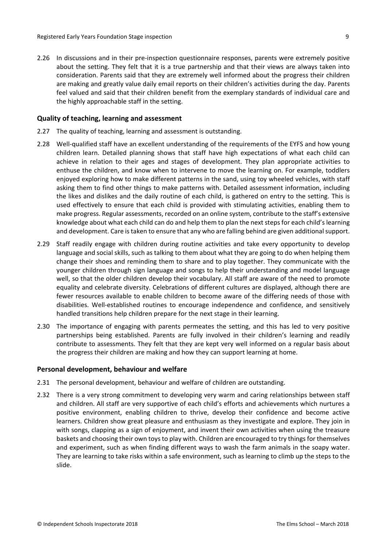2.26 In discussions and in their pre-inspection questionnaire responses, parents were extremely positive about the setting. They felt that it is a true partnership and that their views are always taken into consideration. Parents said that they are extremely well informed about the progress their children are making and greatly value daily email reports on their children's activities during the day. Parents feel valued and said that their children benefit from the exemplary standards of individual care and the highly approachable staff in the setting.

#### <span id="page-8-0"></span>**Quality of teaching, learning and assessment**

- 2.27 The quality of teaching, learning and assessment is outstanding.
- 2.28 Well-qualified staff have an excellent understanding of the requirements of the EYFS and how young children learn. Detailed planning shows that staff have high expectations of what each child can achieve in relation to their ages and stages of development. They plan appropriate activities to enthuse the children, and know when to intervene to move the learning on. For example, toddlers enjoyed exploring how to make different patterns in the sand, using toy wheeled vehicles, with staff asking them to find other things to make patterns with. Detailed assessment information, including the likes and dislikes and the daily routine of each child, is gathered on entry to the setting. This is used effectively to ensure that each child is provided with stimulating activities, enabling them to make progress. Regular assessments, recorded on an online system, contribute to the staff's extensive knowledge about what each child can do and help them to plan the next steps for each child's learning and development. Care is taken to ensure that any who are falling behind are given additional support.
- 2.29 Staff readily engage with children during routine activities and take every opportunity to develop language and social skills, such as talking to them about what they are going to do when helping them change their shoes and reminding them to share and to play together. They communicate with the younger children through sign language and songs to help their understanding and model language well, so that the older children develop their vocabulary. All staff are aware of the need to promote equality and celebrate diversity. Celebrations of different cultures are displayed, although there are fewer resources available to enable children to become aware of the differing needs of those with disabilities. Well-established routines to encourage independence and confidence, and sensitively handled transitions help children prepare for the next stage in their learning.
- 2.30 The importance of engaging with parents permeates the setting, and this has led to very positive partnerships being established. Parents are fully involved in their children's learning and readily contribute to assessments. They felt that they are kept very well informed on a regular basis about the progress their children are making and how they can support learning at home.

#### <span id="page-8-1"></span>**Personal development, behaviour and welfare**

- 2.31 The personal development, behaviour and welfare of children are outstanding.
- 2.32 There is a very strong commitment to developing very warm and caring relationships between staff and children. All staff are very supportive of each child's efforts and achievements which nurtures a positive environment, enabling children to thrive, develop their confidence and become active learners. Children show great pleasure and enthusiasm as they investigate and explore. They join in with songs, clapping as a sign of enjoyment, and invent their own activities when using the treasure baskets and choosing their own toys to play with. Children are encouraged to try things for themselves and experiment, such as when finding different ways to wash the farm animals in the soapy water. They are learning to take risks within a safe environment, such as learning to climb up the steps to the slide.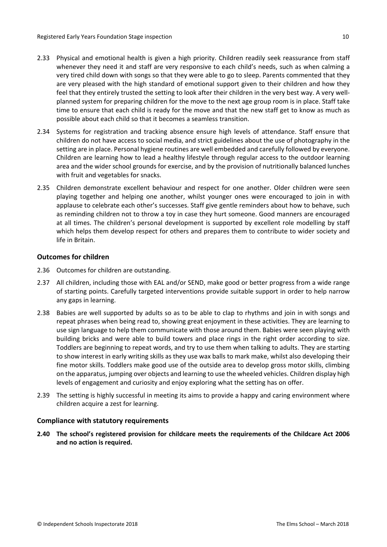- 2.33 Physical and emotional health is given a high priority. Children readily seek reassurance from staff whenever they need it and staff are very responsive to each child's needs, such as when calming a very tired child down with songs so that they were able to go to sleep. Parents commented that they are very pleased with the high standard of emotional support given to their children and how they feel that they entirely trusted the setting to look after their children in the very best way. A very wellplanned system for preparing children for the move to the next age group room is in place. Staff take time to ensure that each child is ready for the move and that the new staff get to know as much as possible about each child so that it becomes a seamless transition.
- 2.34 Systems for registration and tracking absence ensure high levels of attendance. Staff ensure that children do not have access to social media, and strict guidelines about the use of photography in the setting are in place. Personal hygiene routines are well embedded and carefully followed by everyone. Children are learning how to lead a healthy lifestyle through regular access to the outdoor learning area and the wider school grounds for exercise, and by the provision of nutritionally balanced lunches with fruit and vegetables for snacks.
- 2.35 Children demonstrate excellent behaviour and respect for one another. Older children were seen playing together and helping one another, whilst younger ones were encouraged to join in with applause to celebrate each other's successes. Staff give gentle reminders about how to behave, such as reminding children not to throw a toy in case they hurt someone. Good manners are encouraged at all times. The children's personal development is supported by excellent role modelling by staff which helps them develop respect for others and prepares them to contribute to wider society and life in Britain.

#### <span id="page-9-0"></span>**Outcomes for children**

- 2.36 Outcomes for children are outstanding.
- 2.37 All children, including those with EAL and/or SEND, make good or better progress from a wide range of starting points. Carefully targeted interventions provide suitable support in order to help narrow any gaps in learning.
- 2.38 Babies are well supported by adults so as to be able to clap to rhythms and join in with songs and repeat phrases when being read to, showing great enjoyment in these activities. They are learning to use sign language to help them communicate with those around them. Babies were seen playing with building bricks and were able to build towers and place rings in the right order according to size. Toddlers are beginning to repeat words, and try to use them when talking to adults. They are starting to show interest in early writing skills as they use wax balls to mark make, whilst also developing their fine motor skills. Toddlers make good use of the outside area to develop gross motor skills, climbing on the apparatus, jumping over objects and learning to use the wheeled vehicles. Children display high levels of engagement and curiosity and enjoy exploring what the setting has on offer.
- 2.39 The setting is highly successful in meeting its aims to provide a happy and caring environment where children acquire a zest for learning.

#### <span id="page-9-1"></span>**Compliance with statutory requirements**

<span id="page-9-2"></span>**2.40 The school's registered provision for childcare meets the requirements of the Childcare Act 2006 and no action is required.**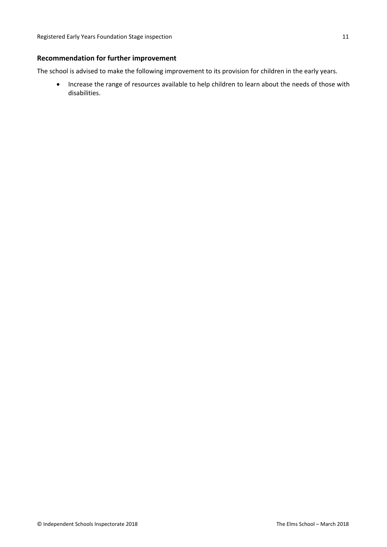### **Recommendation for further improvement**

The school is advised to make the following improvement to its provision for children in the early years.

 Increase the range of resources available to help children to learn about the needs of those with disabilities.